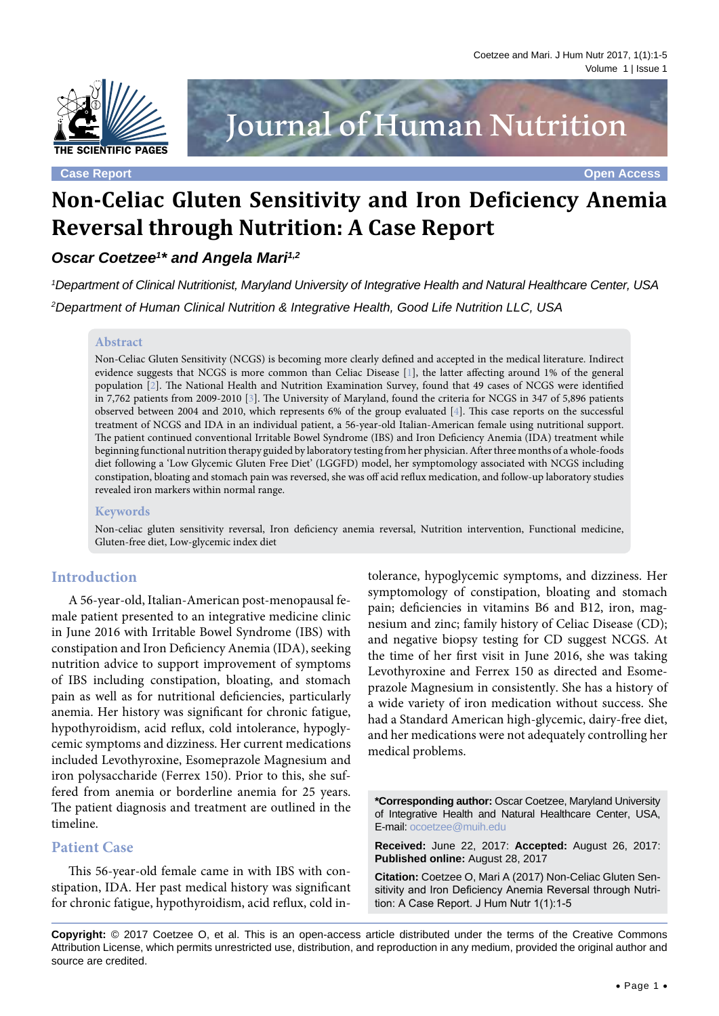

**Case Report Open Access**

# Journal of Human Nutrition

# **Non-Celiac Gluten Sensitivity and Iron Deficiency Anemia Reversal through Nutrition: A Case Report**

# **Oscar Coetzee<sup>1\*</sup> and Angela Mari<sup>1,2</sup>**

1 Department of Clinical Nutritionist, Maryland University of Integrative Health and Natural Healthcare Center, USA 2 Department of Human Clinical Nutrition & Integrative Health, Good Life Nutrition LLC, USA

#### **Abstract**

Non-Celiac Gluten Sensitivity (NCGS) is becoming more clearly defined and accepted in the medical literature. Indirect evidence suggests that NCGS is more common than Celiac Disease [\[1](#page-3-0)], the latter affecting around 1% of the general population [[2\]](#page-3-1). The National Health and Nutrition Examination Survey, found that 49 cases of NCGS were identified in 7,762 patients from 2009-2010 [[3](#page-4-0)]. The University of Maryland, found the criteria for NCGS in 347 of 5,896 patients observed between 2004 and 2010, which represents 6% of the group evaluated [[4](#page-4-1)]. This case reports on the successful treatment of NCGS and IDA in an individual patient, a 56-year-old Italian-American female using nutritional support. The patient continued conventional Irritable Bowel Syndrome (IBS) and Iron Deficiency Anemia (IDA) treatment while beginning functional nutrition therapy guided by laboratory testing from her physician. After three months of a whole-foods diet following a 'Low Glycemic Gluten Free Diet' (LGGFD) model, her symptomology associated with NCGS including constipation, bloating and stomach pain was reversed, she was off acid reflux medication, and follow-up laboratory studies revealed iron markers within normal range.

#### **Keywords**

Non-celiac gluten sensitivity reversal, Iron deficiency anemia reversal, Nutrition intervention, Functional medicine, Gluten-free diet, Low-glycemic index diet

### **Introduction**

A 56-year-old, Italian-American post-menopausal female patient presented to an integrative medicine clinic in June 2016 with Irritable Bowel Syndrome (IBS) with constipation and Iron Deficiency Anemia (IDA), seeking nutrition advice to support improvement of symptoms of IBS including constipation, bloating, and stomach pain as well as for nutritional deficiencies, particularly anemia. Her history was significant for chronic fatigue, hypothyroidism, acid reflux, cold intolerance, hypoglycemic symptoms and dizziness. Her current medications included Levothyroxine, Esomeprazole Magnesium and iron polysaccharide (Ferrex 150). Prior to this, she suffered from anemia or borderline anemia for 25 years. The patient diagnosis and treatment are outlined in the timeline.

#### **Patient Case**

This 56-year-old female came in with IBS with constipation, IDA. Her past medical history was significant for chronic fatigue, hypothyroidism, acid reflux, cold in-

tolerance, hypoglycemic symptoms, and dizziness. Her symptomology of constipation, bloating and stomach pain; deficiencies in vitamins B6 and B12, iron, magnesium and zinc; family history of Celiac Disease (CD); and negative biopsy testing for CD suggest NCGS. At the time of her first visit in June 2016, she was taking Levothyroxine and Ferrex 150 as directed and Esomeprazole Magnesium in consistently. She has a history of a wide variety of iron medication without success. She had a Standard American high-glycemic, dairy-free diet, and her medications were not adequately controlling her medical problems.

**\*Corresponding author:** Oscar Coetzee, Maryland University of Integrative Health and Natural Healthcare Center, USA, E-mail: ocoetzee@muih.edu

**Received:** June 22, 2017: **Accepted:** August 26, 2017: **Published online:** August 28, 2017

**Citation:** Coetzee O, Mari A (2017) Non-Celiac Gluten Sensitivity and Iron Deficiency Anemia Reversal through Nutrition: A Case Report. J Hum Nutr 1(1):1-5

**Copyright:** © 2017 Coetzee O, et al. This is an open-access article distributed under the terms of the Creative Commons Attribution License, which permits unrestricted use, distribution, and reproduction in any medium, provided the original author and source are credited.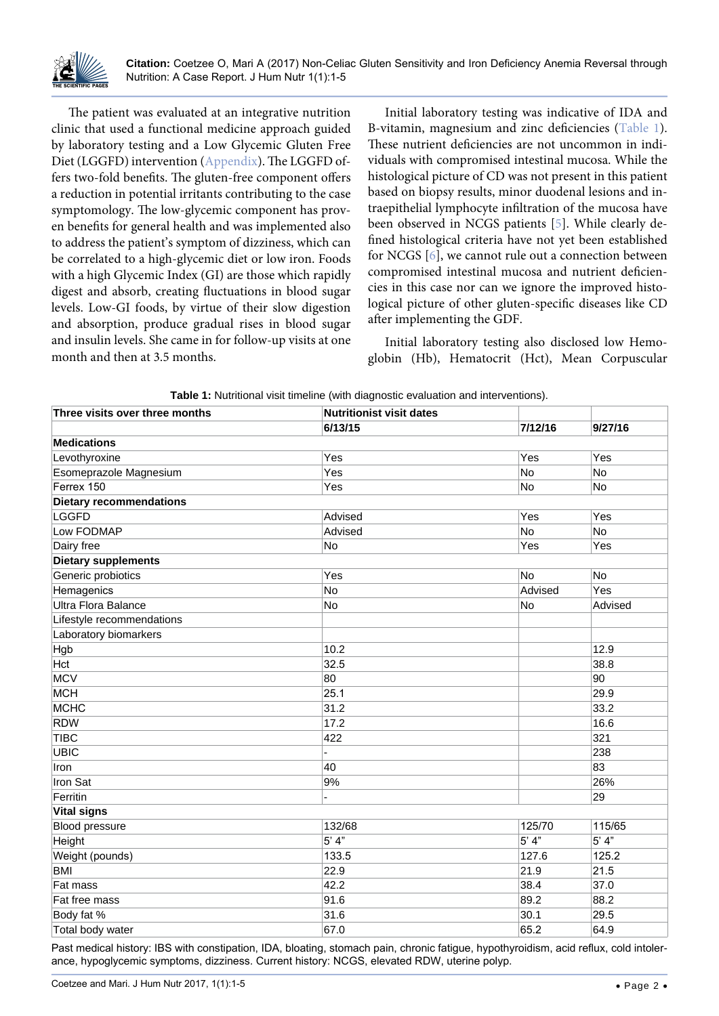

The patient was evaluated at an integrative nutrition clinic that used a functional medicine approach guided by laboratory testing and a Low Glycemic Gluten Free Diet (LGGFD) intervention ([Appendix](http://thescientificpages.org/Articles/tsphn/tsphn-1-01-appendix.docx)). The LGGFD offers two-fold benefits. The gluten-free component offers a reduction in potential irritants contributing to the case symptomology. The low-glycemic component has proven benefits for general health and was implemented also to address the patient's symptom of dizziness, which can be correlated to a high-glycemic diet or low iron. Foods with a high Glycemic Index (GI) are those which rapidly digest and absorb, creating fluctuations in blood sugar levels. Low-GI foods, by virtue of their slow digestion and absorption, produce gradual rises in blood sugar and insulin levels. She came in for follow-up visits at one month and then at 3.5 months.

Initial laboratory testing was indicative of IDA and B-vitamin, magnesium and zinc deficiencies ([Table 1](#page-1-0)). These nutrient deficiencies are not uncommon in individuals with compromised intestinal mucosa. While the histological picture of CD was not present in this patient based on biopsy results, minor duodenal lesions and intraepithelial lymphocyte infiltration of the mucosa have been observed in NCGS patients [[5](#page-4-2)]. While clearly defined histological criteria have not yet been established for NCGS [[6\]](#page-4-3), we cannot rule out a connection between compromised intestinal mucosa and nutrient deficiencies in this case nor can we ignore the improved histological picture of other gluten-specific diseases like CD after implementing the GDF.

Initial laboratory testing also disclosed low Hemoglobin (Hb), Hematocrit (Hct), Mean Corpuscular

| Three visits over three months | <b>Nutritionist visit dates</b><br>6/13/15 | 7/12/16 | 9/27/16 |
|--------------------------------|--------------------------------------------|---------|---------|
|                                |                                            |         |         |
| Levothyroxine                  | Yes                                        | Yes     | Yes     |
| Esomeprazole Magnesium         | Yes                                        | No      | No      |
| Ferrex 150                     | Yes                                        | No      | No      |
| <b>Dietary recommendations</b> |                                            |         |         |
| <b>LGGFD</b>                   | Advised                                    | Yes     | Yes     |
| Low FODMAP                     | Advised                                    | No      | No      |
| Dairy free                     | No                                         | Yes     | Yes     |
| <b>Dietary supplements</b>     |                                            |         |         |
| Generic probiotics             | Yes                                        | No      | No      |
| Hemagenics                     | No                                         | Advised | Yes     |
| Ultra Flora Balance            | No                                         | No      | Advised |
| Lifestyle recommendations      |                                            |         |         |
| Laboratory biomarkers          |                                            |         |         |
| Hgb                            | 10.2                                       |         | 12.9    |
| Hct                            | 32.5                                       |         | 38.8    |
| <b>MCV</b>                     | 80                                         |         | 90      |
| <b>MCH</b>                     | 25.1                                       |         | 29.9    |
| <b>MCHC</b>                    | 31.2                                       |         | 33.2    |
| <b>RDW</b>                     | 17.2                                       |         | 16.6    |
| <b>TIBC</b>                    | 422                                        |         | 321     |
| <b>UBIC</b>                    |                                            |         | 238     |
| Iron                           | 40                                         |         | 83      |
| Iron Sat                       | 9%                                         |         | 26%     |
| Ferritin                       | L.                                         |         | 29      |
| <b>Vital signs</b>             |                                            |         |         |
| Blood pressure                 | 132/68                                     | 125/70  | 115/65  |
| Height                         | $5'$ 4"                                    | 5' 4''  | $5'$ 4" |
| Weight (pounds)                | 133.5                                      | 127.6   | 125.2   |
| <b>BMI</b>                     | 22.9                                       | 21.9    | 21.5    |
| Fat mass                       | 42.2                                       | 38.4    | 37.0    |
| Fat free mass                  | 91.6                                       | 89.2    | 88.2    |
| Body fat %                     | 31.6                                       | 30.1    | 29.5    |
| Total body water               | 67.0                                       | 65.2    | 64.9    |

<span id="page-1-0"></span>**Table 1:** Nutritional visit timeline (with diagnostic evaluation and interventions).

Past medical history: IBS with constipation, IDA, bloating, stomach pain, chronic fatigue, hypothyroidism, acid reflux, cold intolerance, hypoglycemic symptoms, dizziness. Current history: NCGS, elevated RDW, uterine polyp.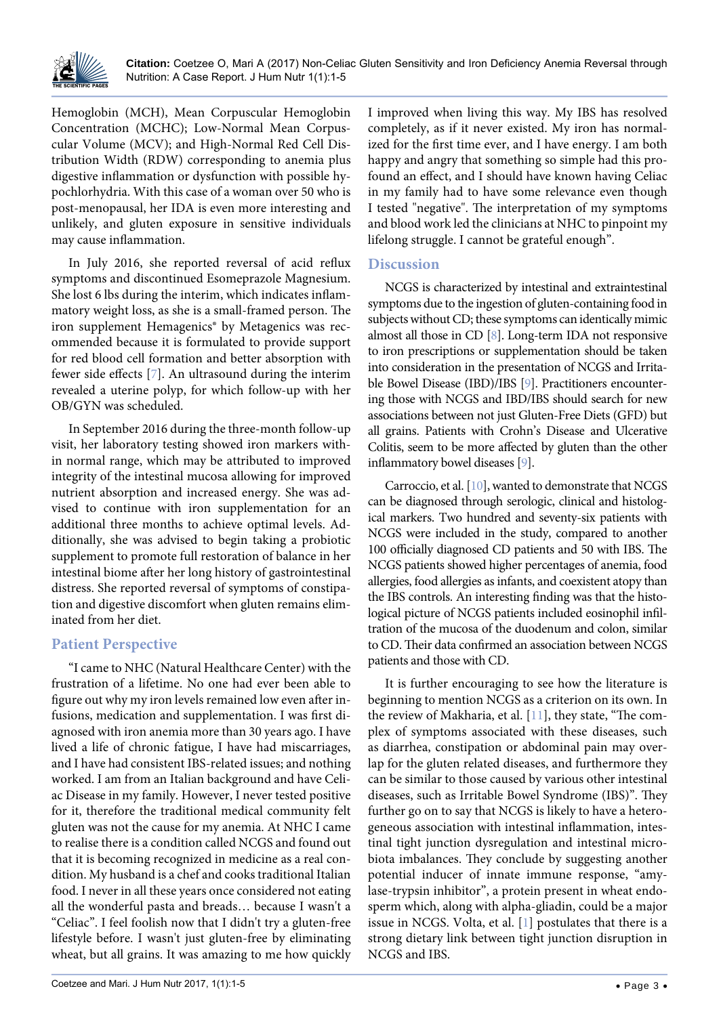

Hemoglobin (MCH), Mean Corpuscular Hemoglobin Concentration (MCHC); Low-Normal Mean Corpuscular Volume (MCV); and High-Normal Red Cell Distribution Width (RDW) corresponding to anemia plus digestive inflammation or dysfunction with possible hypochlorhydria. With this case of a woman over 50 who is post-menopausal, her IDA is even more interesting and unlikely, and gluten exposure in sensitive individuals may cause inflammation.

In July 2016, she reported reversal of acid reflux symptoms and discontinued Esomeprazole Magnesium. She lost 6 lbs during the interim, which indicates inflammatory weight loss, as she is a small-framed person. The iron supplement Hemagenics<sup>®</sup> by Metagenics was recommended because it is formulated to provide support for red blood cell formation and better absorption with fewer side effects [[7](#page-4-8)]. An ultrasound during the interim revealed a uterine polyp, for which follow-up with her OB/GYN was scheduled.

In September 2016 during the three-month follow-up visit, her laboratory testing showed iron markers within normal range, which may be attributed to improved integrity of the intestinal mucosa allowing for improved nutrient absorption and increased energy. She was advised to continue with iron supplementation for an additional three months to achieve optimal levels. Additionally, she was advised to begin taking a probiotic supplement to promote full restoration of balance in her intestinal biome after her long history of gastrointestinal distress. She reported reversal of symptoms of constipation and digestive discomfort when gluten remains eliminated from her diet.

# **Patient Perspective**

"I came to NHC (Natural Healthcare Center) with the frustration of a lifetime. No one had ever been able to figure out why my iron levels remained low even after infusions, medication and supplementation. I was first diagnosed with iron anemia more than 30 years ago. I have lived a life of chronic fatigue, I have had miscarriages, and I have had consistent IBS-related issues; and nothing worked. I am from an Italian background and have Celiac Disease in my family. However, I never tested positive for it, therefore the traditional medical community felt gluten was not the cause for my anemia. At NHC I came to realise there is a condition called NCGS and found out that it is becoming recognized in medicine as a real condition. My husband is a chef and cooks traditional Italian food. I never in all these years once considered not eating all the wonderful pasta and breads… because I wasn't a "Celiac". I feel foolish now that I didn't try a gluten-free lifestyle before. I wasn't just gluten-free by eliminating wheat, but all grains. It was amazing to me how quickly I improved when living this way. My IBS has resolved completely, as if it never existed. My iron has normalized for the first time ever, and I have energy. I am both happy and angry that something so simple had this profound an effect, and I should have known having Celiac in my family had to have some relevance even though I tested "negative". The interpretation of my symptoms and blood work led the clinicians at NHC to pinpoint my lifelong struggle. I cannot be grateful enough".

# **Discussion**

NCGS is characterized by intestinal and extraintestinal symptoms due to the ingestion of gluten-containing food in subjects without CD; these symptoms can identically mimic almost all those in CD [[8\]](#page-4-4). Long-term IDA not responsive to iron prescriptions or supplementation should be taken into consideration in the presentation of NCGS and Irritable Bowel Disease (IBD)/IBS [[9\]](#page-4-5). Practitioners encountering those with NCGS and IBD/IBS should search for new associations between not just Gluten-Free Diets (GFD) but all grains. Patients with Crohn's Disease and Ulcerative Colitis, seem to be more affected by gluten than the other inflammatory bowel diseases [[9\]](#page-4-5).

Carroccio, et al. [[10\]](#page-4-6), wanted to demonstrate that NCGS can be diagnosed through serologic, clinical and histological markers. Two hundred and seventy-six patients with NCGS were included in the study, compared to another 100 officially diagnosed CD patients and 50 with IBS. The NCGS patients showed higher percentages of anemia, food allergies, food allergies as infants, and coexistent atopy than the IBS controls. An interesting finding was that the histological picture of NCGS patients included eosinophil infiltration of the mucosa of the duodenum and colon, similar to CD. Their data confirmed an association between NCGS patients and those with CD.

It is further encouraging to see how the literature is beginning to mention NCGS as a criterion on its own. In the review of Makharia, et al. [[11](#page-4-7)], they state, "The complex of symptoms associated with these diseases, such as diarrhea, constipation or abdominal pain may overlap for the gluten related diseases, and furthermore they can be similar to those caused by various other intestinal diseases, such as Irritable Bowel Syndrome (IBS)". They further go on to say that NCGS is likely to have a heterogeneous association with intestinal inflammation, intestinal tight junction dysregulation and intestinal microbiota imbalances. They conclude by suggesting another potential inducer of innate immune response, "amylase-trypsin inhibitor", a protein present in wheat endosperm which, along with alpha-gliadin, could be a major issue in NCGS. Volta, et al. [[1](#page-3-0)] postulates that there is a strong dietary link between tight junction disruption in NCGS and IBS.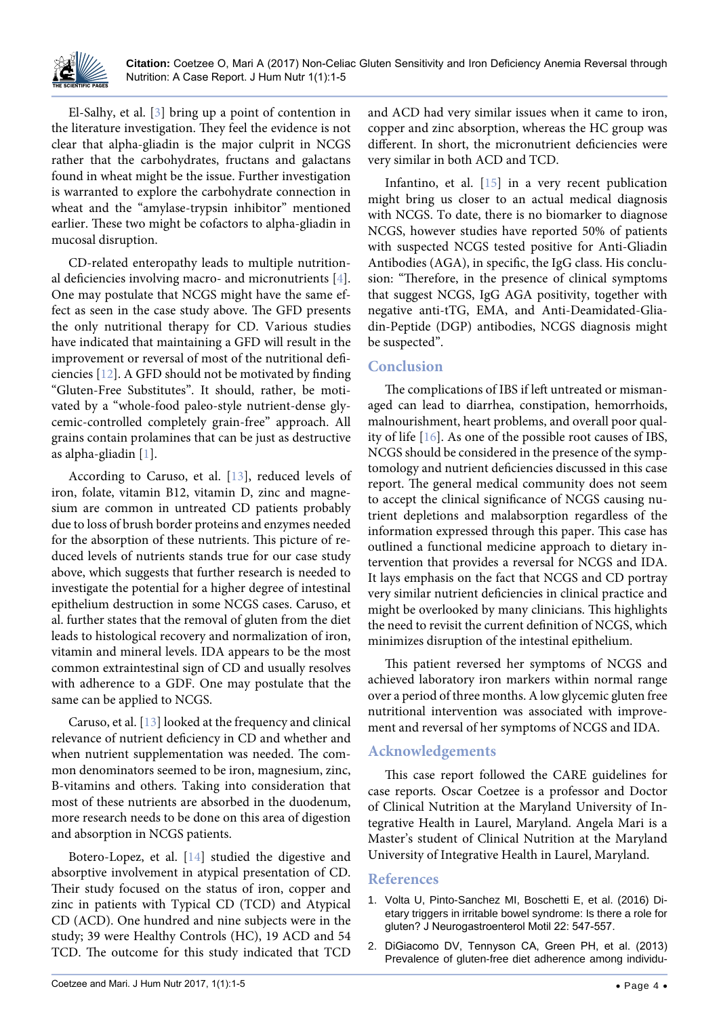

El-Salhy, et al. [[3](#page-4-0)] bring up a point of contention in the literature investigation. They feel the evidence is not clear that alpha-gliadin is the major culprit in NCGS rather that the carbohydrates, fructans and galactans found in wheat might be the issue. Further investigation is warranted to explore the carbohydrate connection in wheat and the "amylase-trypsin inhibitor" mentioned earlier. These two might be cofactors to alpha-gliadin in mucosal disruption.

CD-related enteropathy leads to multiple nutritional deficiencies involving macro- and micronutrients [[4](#page-4-1)]. One may postulate that NCGS might have the same effect as seen in the case study above. The GFD presents the only nutritional therapy for CD. Various studies have indicated that maintaining a GFD will result in the improvement or reversal of most of the nutritional deficiencies [\[12\]](#page-4-11). A GFD should not be motivated by finding "Gluten-Free Substitutes". It should, rather, be motivated by a "whole-food paleo-style nutrient-dense glycemic-controlled completely grain-free" approach. All grains contain prolamines that can be just as destructive as alpha-gliadin [[1\]](#page-3-0).

According to Caruso, et al. [\[13\]](#page-4-12), reduced levels of iron, folate, vitamin B12, vitamin D, zinc and magnesium are common in untreated CD patients probably due to loss of brush border proteins and enzymes needed for the absorption of these nutrients. This picture of reduced levels of nutrients stands true for our case study above, which suggests that further research is needed to investigate the potential for a higher degree of intestinal epithelium destruction in some NCGS cases. Caruso, et al. further states that the removal of gluten from the diet leads to histological recovery and normalization of iron, vitamin and mineral levels. IDA appears to be the most common extraintestinal sign of CD and usually resolves with adherence to a GDF. One may postulate that the same can be applied to NCGS.

Caruso, et al. [\[13\]](#page-4-12) looked at the frequency and clinical relevance of nutrient deficiency in CD and whether and when nutrient supplementation was needed. The common denominators seemed to be iron, magnesium, zinc, B-vitamins and others. Taking into consideration that most of these nutrients are absorbed in the duodenum, more research needs to be done on this area of digestion and absorption in NCGS patients.

Botero-Lopez, et al. [[14](#page-4-13)] studied the digestive and absorptive involvement in atypical presentation of CD. Their study focused on the status of iron, copper and zinc in patients with Typical CD (TCD) and Atypical CD (ACD). One hundred and nine subjects were in the study; 39 were Healthy Controls (HC), 19 ACD and 54 TCD. The outcome for this study indicated that TCD and ACD had very similar issues when it came to iron, copper and zinc absorption, whereas the HC group was different. In short, the micronutrient deficiencies were very similar in both ACD and TCD.

Infantino, et al. [\[15\]](#page-4-9) in a very recent publication might bring us closer to an actual medical diagnosis with NCGS. To date, there is no biomarker to diagnose NCGS, however studies have reported 50% of patients with suspected NCGS tested positive for Anti-Gliadin Antibodies (AGA), in specific, the IgG class. His conclusion: "Therefore, in the presence of clinical symptoms that suggest NCGS, IgG AGA positivity, together with negative anti-tTG, EMA, and Anti-Deamidated-Gliadin-Peptide (DGP) antibodies, NCGS diagnosis might be suspected".

# **Conclusion**

The complications of IBS if left untreated or mismanaged can lead to diarrhea, constipation, hemorrhoids, malnourishment, heart problems, and overall poor quality of life [[16](#page-4-10)]. As one of the possible root causes of IBS, NCGS should be considered in the presence of the symptomology and nutrient deficiencies discussed in this case report. The general medical community does not seem to accept the clinical significance of NCGS causing nutrient depletions and malabsorption regardless of the information expressed through this paper. This case has outlined a functional medicine approach to dietary intervention that provides a reversal for NCGS and IDA. It lays emphasis on the fact that NCGS and CD portray very similar nutrient deficiencies in clinical practice and might be overlooked by many clinicians. This highlights the need to revisit the current definition of NCGS, which minimizes disruption of the intestinal epithelium.

This patient reversed her symptoms of NCGS and achieved laboratory iron markers within normal range over a period of three months. A low glycemic gluten free nutritional intervention was associated with improvement and reversal of her symptoms of NCGS and IDA.

# **Acknowledgements**

This case report followed the CARE guidelines for case reports. Oscar Coetzee is a professor and Doctor of Clinical Nutrition at the Maryland University of Integrative Health in Laurel, Maryland. Angela Mari is a Master's student of Clinical Nutrition at the Maryland University of Integrative Health in Laurel, Maryland.

# **References**

- <span id="page-3-0"></span>1. [Volta U, Pinto-Sanchez MI, Boschetti E, et al. \(2016\) Di](https://www.ncbi.nlm.nih.gov/pubmed/27426486)[etary triggers in irritable bowel syndrome: Is there a role for](https://www.ncbi.nlm.nih.gov/pubmed/27426486)  [gluten? J Neurogastroenterol Motil 22: 547-557.](https://www.ncbi.nlm.nih.gov/pubmed/27426486)
- <span id="page-3-1"></span>2. [DiGiacomo DV, Tennyson CA, Green PH, et al. \(2013\)](https://www.ncbi.nlm.nih.gov/pubmed/23834276)  [Prevalence of gluten-free diet adherence among individu-](https://www.ncbi.nlm.nih.gov/pubmed/23834276)